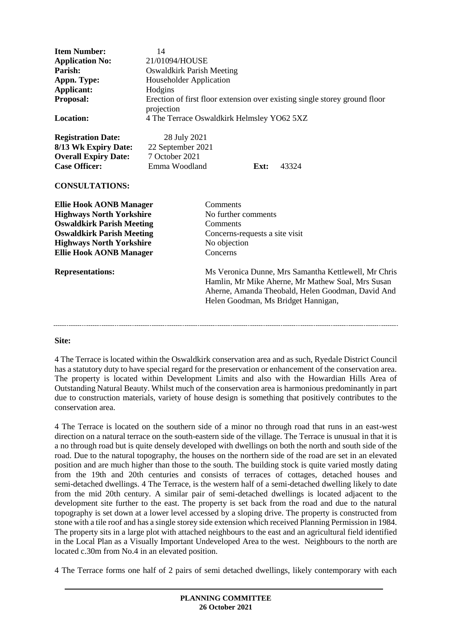| <b>Item Number:</b><br><b>Application No:</b><br>Parish:<br>Appn. Type:<br>Applicant:<br>Proposal:<br>Location:                                                                                                                           | 14<br>21/01094/HOUSE<br><b>Oswaldkirk Parish Meeting</b><br>Householder Application<br>Hodgins<br>Erection of first floor extension over existing single storey ground floor<br>projection<br>4 The Terrace Oswaldkirk Helmsley YO62 5XZ |                                                                                                                                                                                                                                                                                                                    |
|-------------------------------------------------------------------------------------------------------------------------------------------------------------------------------------------------------------------------------------------|------------------------------------------------------------------------------------------------------------------------------------------------------------------------------------------------------------------------------------------|--------------------------------------------------------------------------------------------------------------------------------------------------------------------------------------------------------------------------------------------------------------------------------------------------------------------|
| <b>Registration Date:</b><br>8/13 Wk Expiry Date:<br><b>Overall Expiry Date:</b><br><b>Case Officer:</b><br><b>CONSULTATIONS:</b>                                                                                                         | 28 July 2021<br>22 September 2021<br>7 October 2021<br>Emma Woodland                                                                                                                                                                     | Ext:<br>43324                                                                                                                                                                                                                                                                                                      |
| <b>Ellie Hook AONB Manager</b><br><b>Highways North Yorkshire</b><br><b>Oswaldkirk Parish Meeting</b><br><b>Oswaldkirk Parish Meeting</b><br><b>Highways North Yorkshire</b><br><b>Ellie Hook AONB Manager</b><br><b>Representations:</b> |                                                                                                                                                                                                                                          | Comments<br>No further comments<br>Comments<br>Concerns-requests a site visit<br>No objection<br>Concerns<br>Ms Veronica Dunne, Mrs Samantha Kettlewell, Mr Chris<br>Hamlin, Mr Mike Aherne, Mr Mathew Soal, Mrs Susan<br>Aherne, Amanda Theobald, Helen Goodman, David And<br>Helen Goodman, Ms Bridget Hannigan, |
| $\sim$                                                                                                                                                                                                                                    |                                                                                                                                                                                                                                          |                                                                                                                                                                                                                                                                                                                    |

#### **Site:**

4 The Terrace is located within the Oswaldkirk conservation area and as such, Ryedale District Council has a statutory duty to have special regard for the preservation or enhancement of the conservation area. The property is located within Development Limits and also with the Howardian Hills Area of Outstanding Natural Beauty. Whilst much of the conservation area is harmonious predominantly in part due to construction materials, variety of house design is something that positively contributes to the conservation area.

4 The Terrace is located on the southern side of a minor no through road that runs in an east-west direction on a natural terrace on the south-eastern side of the village. The Terrace is unusual in that it is a no through road but is quite densely developed with dwellings on both the north and south side of the road. Due to the natural topography, the houses on the northern side of the road are set in an elevated position and are much higher than those to the south. The building stock is quite varied mostly dating from the 19th and 20th centuries and consists of terraces of cottages, detached houses and semi-detached dwellings. 4 The Terrace, is the western half of a semi-detached dwelling likely to date from the mid 20th century. A similar pair of semi-detached dwellings is located adjacent to the development site further to the east. The property is set back from the road and due to the natural topography is set down at a lower level accessed by a sloping drive. The property is constructed from stone with a tile roof and has a single storey side extension which received Planning Permission in 1984. The property sits in a large plot with attached neighbours to the east and an agricultural field identified in the Local Plan as a Visually Important Undeveloped Area to the west. Neighbours to the north are located c.30m from No.4 in an elevated position.

4 The Terrace forms one half of 2 pairs of semi detached dwellings, likely contemporary with each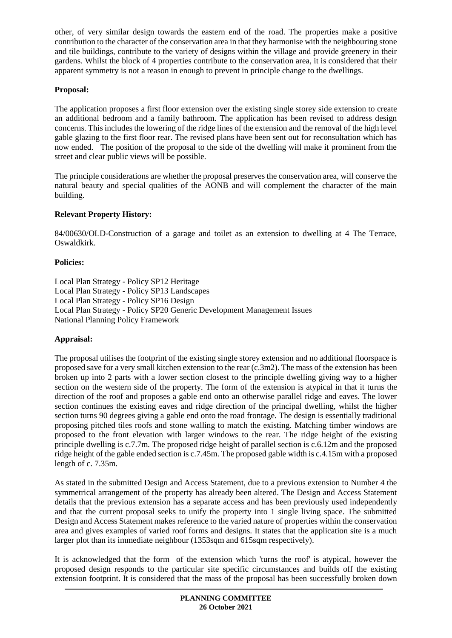other, of very similar design towards the eastern end of the road. The properties make a positive contribution to the character of the conservation area in that they harmonise with the neighbouring stone and tile buildings, contribute to the variety of designs within the village and provide greenery in their gardens. Whilst the block of 4 properties contribute to the conservation area, it is considered that their apparent symmetry is not a reason in enough to prevent in principle change to the dwellings.

### **Proposal:**

The application proposes a first floor extension over the existing single storey side extension to create an additional bedroom and a family bathroom. The application has been revised to address design concerns. This includes the lowering of the ridge lines of the extension and the removal of the high level gable glazing to the first floor rear. The revised plans have been sent out for reconsultation which has now ended. The position of the proposal to the side of the dwelling will make it prominent from the street and clear public views will be possible.

The principle considerations are whether the proposal preserves the conservation area, will conserve the natural beauty and special qualities of the AONB and will complement the character of the main building.

# **Relevant Property History:**

84/00630/OLD-Construction of a garage and toilet as an extension to dwelling at 4 The Terrace, Oswaldkirk.

# **Policies:**

Local Plan Strategy - Policy SP12 Heritage Local Plan Strategy - Policy SP13 Landscapes Local Plan Strategy - Policy SP16 Design Local Plan Strategy - Policy SP20 Generic Development Management Issues National Planning Policy Framework

# **Appraisal:**

The proposal utilises the footprint of the existing single storey extension and no additional floorspace is proposed save for a very small kitchen extension to the rear (c.3m2). The mass of the extension has been broken up into 2 parts with a lower section closest to the principle dwelling giving way to a higher section on the western side of the property. The form of the extension is atypical in that it turns the direction of the roof and proposes a gable end onto an otherwise parallel ridge and eaves. The lower section continues the existing eaves and ridge direction of the principal dwelling, whilst the higher section turns 90 degrees giving a gable end onto the road frontage. The design is essentially traditional proposing pitched tiles roofs and stone walling to match the existing. Matching timber windows are proposed to the front elevation with larger windows to the rear. The ridge height of the existing principle dwelling is c.7.7m. The proposed ridge height of parallel section is c.6.12m and the proposed ridge height of the gable ended section is c.7.45m. The proposed gable width is c.4.15m with a proposed length of c. 7.35m.

As stated in the submitted Design and Access Statement, due to a previous extension to Number 4 the symmetrical arrangement of the property has already been altered. The Design and Access Statement details that the previous extension has a separate access and has been previously used independently and that the current proposal seeks to unify the property into 1 single living space. The submitted Design and Access Statement makes reference to the varied nature of properties within the conservation area and gives examples of varied roof forms and designs. It states that the application site is a much larger plot than its immediate neighbour (1353sqm and 615sqm respectively).

It is acknowledged that the form of the extension which 'turns the roof' is atypical, however the proposed design responds to the particular site specific circumstances and builds off the existing extension footprint. It is considered that the mass of the proposal has been successfully broken down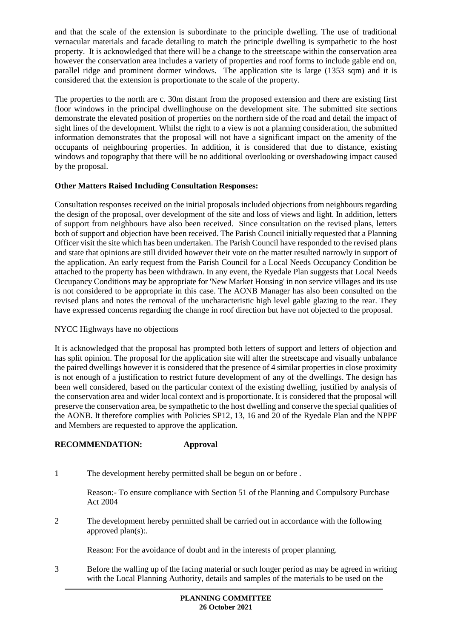and that the scale of the extension is subordinate to the principle dwelling. The use of traditional vernacular materials and facade detailing to match the principle dwelling is sympathetic to the host property. It is acknowledged that there will be a change to the streetscape within the conservation area however the conservation area includes a variety of properties and roof forms to include gable end on, parallel ridge and prominent dormer windows. The application site is large (1353 sqm) and it is considered that the extension is proportionate to the scale of the property.

The properties to the north are c. 30m distant from the proposed extension and there are existing first floor windows in the principal dwellinghouse on the development site. The submitted site sections demonstrate the elevated position of properties on the northern side of the road and detail the impact of sight lines of the development. Whilst the right to a view is not a planning consideration, the submitted information demonstrates that the proposal will not have a significant impact on the amenity of the occupants of neighbouring properties. In addition, it is considered that due to distance, existing windows and topography that there will be no additional overlooking or overshadowing impact caused by the proposal.

# **Other Matters Raised Including Consultation Responses:**

Consultation responses received on the initial proposals included objections from neighbours regarding the design of the proposal, over development of the site and loss of views and light. In addition, letters of support from neighbours have also been received. Since consultation on the revised plans, letters both of support and objection have been received. The Parish Council initially requested that a Planning Officer visit the site which has been undertaken. The Parish Council have responded to the revised plans and state that opinions are still divided however their vote on the matter resulted narrowly in support of the application. An early request from the Parish Council for a Local Needs Occupancy Condition be attached to the property has been withdrawn. In any event, the Ryedale Plan suggests that Local Needs Occupancy Conditions may be appropriate for 'New Market Housing' in non service villages and its use is not considered to be appropriate in this case. The AONB Manager has also been consulted on the revised plans and notes the removal of the uncharacteristic high level gable glazing to the rear. They have expressed concerns regarding the change in roof direction but have not objected to the proposal.

### NYCC Highways have no objections

It is acknowledged that the proposal has prompted both letters of support and letters of objection and has split opinion. The proposal for the application site will alter the streetscape and visually unbalance the paired dwellings however it is considered that the presence of 4 similar properties in close proximity is not enough of a justification to restrict future development of any of the dwellings. The design has been well considered, based on the particular context of the existing dwelling, justified by analysis of the conservation area and wider local context and is proportionate. It is considered that the proposal will preserve the conservation area, be sympathetic to the host dwelling and conserve the special qualities of the AONB. It therefore complies with Policies SP12, 13, 16 and 20 of the Ryedale Plan and the NPPF and Members are requested to approve the application.

### **RECOMMENDATION: Approval**

1 The development hereby permitted shall be begun on or before .

Reason:- To ensure compliance with Section 51 of the Planning and Compulsory Purchase Act 2004

2 The development hereby permitted shall be carried out in accordance with the following approved plan(s):.

Reason: For the avoidance of doubt and in the interests of proper planning.

3 Before the walling up of the facing material or such longer period as may be agreed in writing with the Local Planning Authority, details and samples of the materials to be used on the